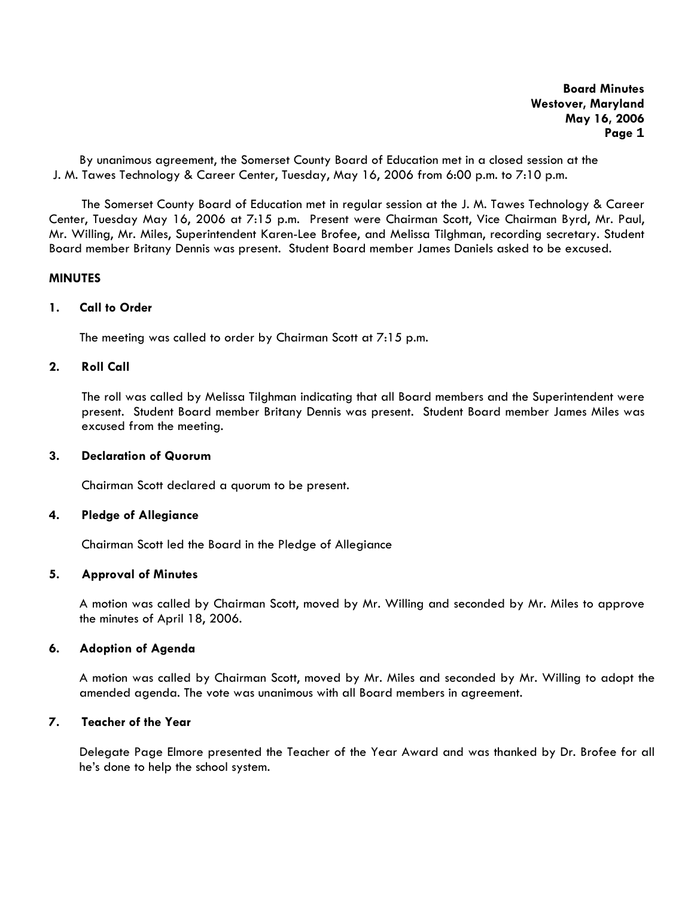By unanimous agreement, the Somerset County Board of Education met in a closed session at the J. M. Tawes Technology & Career Center, Tuesday, May 16, 2006 from 6:00 p.m. to 7:10 p.m.

The Somerset County Board of Education met in regular session at the J. M. Tawes Technology & Career Center, Tuesday May 16, 2006 at 7:15 p.m. Present were Chairman Scott, Vice Chairman Byrd, Mr. Paul, Mr. Willing, Mr. Miles, Superintendent Karen-Lee Brofee, and Melissa Tilghman, recording secretary. Student Board member Britany Dennis was present. Student Board member James Daniels asked to be excused.

#### **MINUTES**

### **1. Call to Order**

The meeting was called to order by Chairman Scott at 7:15 p.m.

### **2. Roll Call**

The roll was called by Melissa Tilghman indicating that all Board members and the Superintendent were present. Student Board member Britany Dennis was present. Student Board member James Miles was excused from the meeting.

### **3. Declaration of Quorum**

Chairman Scott declared a quorum to be present.

#### **4. Pledge of Allegiance**

Chairman Scott led the Board in the Pledge of Allegiance

## **5. Approval of Minutes**

 A motion was called by Chairman Scott, moved by Mr. Willing and seconded by Mr. Miles to approve the minutes of April 18, 2006.

## **6. Adoption of Agenda**

A motion was called by Chairman Scott, moved by Mr. Miles and seconded by Mr. Willing to adopt the amended agenda. The vote was unanimous with all Board members in agreement.

# **7. Teacher of the Year**

Delegate Page Elmore presented the Teacher of the Year Award and was thanked by Dr. Brofee for all he's done to help the school system.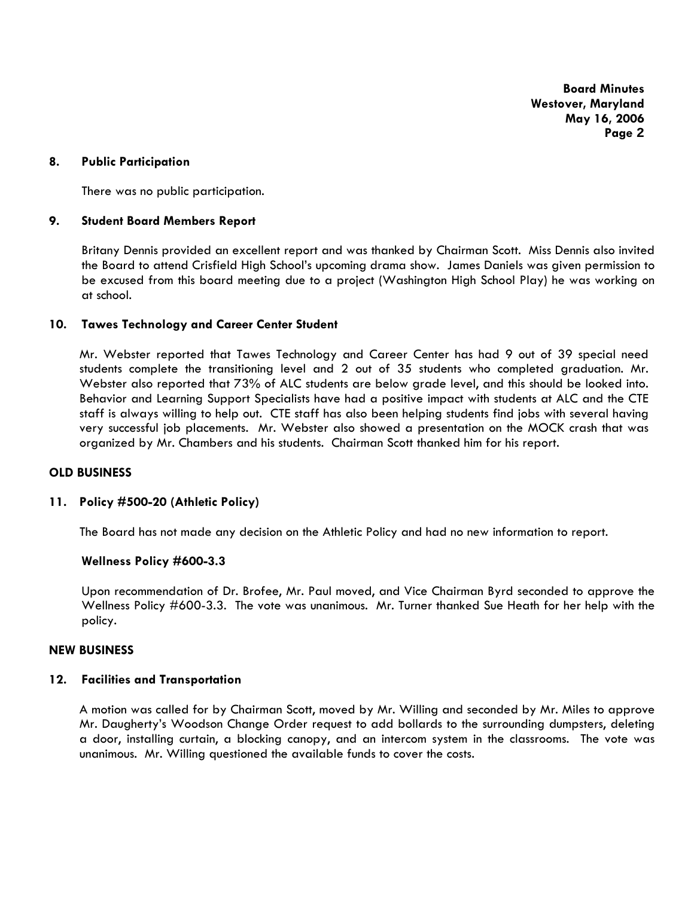### **8. Public Participation**

There was no public participation.

### **9. Student Board Members Report**

Britany Dennis provided an excellent report and was thanked by Chairman Scott. Miss Dennis also invited the Board to attend Crisfield High School's upcoming drama show. James Daniels was given permission to be excused from this board meeting due to a project (Washington High School Play) he was working on at school.

### **10. Tawes Technology and Career Center Student**

Mr. Webster reported that Tawes Technology and Career Center has had 9 out of 39 special need students complete the transitioning level and 2 out of 35 students who completed graduation. Mr. Webster also reported that 73% of ALC students are below grade level, and this should be looked into. Behavior and Learning Support Specialists have had a positive impact with students at ALC and the CTE staff is always willing to help out. CTE staff has also been helping students find jobs with several having very successful job placements. Mr. Webster also showed a presentation on the MOCK crash that was organized by Mr. Chambers and his students. Chairman Scott thanked him for his report.

#### **OLD BUSINESS**

### **11. Policy #500-20 (Athletic Policy)**

The Board has not made any decision on the Athletic Policy and had no new information to report.

#### **Wellness Policy #600-3.3**

Upon recommendation of Dr. Brofee, Mr. Paul moved, and Vice Chairman Byrd seconded to approve the Wellness Policy #600-3.3. The vote was unanimous. Mr. Turner thanked Sue Heath for her help with the policy.

### **NEW BUSINESS**

#### **12. Facilities and Transportation**

A motion was called for by Chairman Scott, moved by Mr. Willing and seconded by Mr. Miles to approve Mr. Daugherty's Woodson Change Order request to add bollards to the surrounding dumpsters, deleting a door, installing curtain, a blocking canopy, and an intercom system in the classrooms. The vote was unanimous. Mr. Willing questioned the available funds to cover the costs.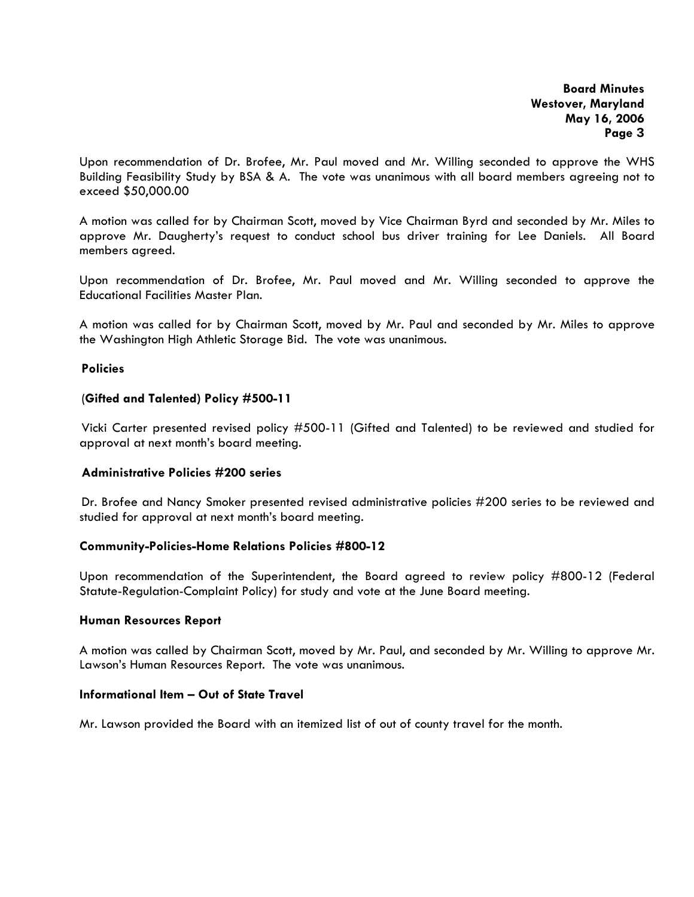Upon recommendation of Dr. Brofee, Mr. Paul moved and Mr. Willing seconded to approve the WHS Building Feasibility Study by BSA & A. The vote was unanimous with all board members agreeing not to exceed \$50,000.00

A motion was called for by Chairman Scott, moved by Vice Chairman Byrd and seconded by Mr. Miles to approve Mr. Daugherty's request to conduct school bus driver training for Lee Daniels. All Board members agreed.

Upon recommendation of Dr. Brofee, Mr. Paul moved and Mr. Willing seconded to approve the Educational Facilities Master Plan.

A motion was called for by Chairman Scott, moved by Mr. Paul and seconded by Mr. Miles to approve the Washington High Athletic Storage Bid. The vote was unanimous.

### **Policies**

### (**Gifted and Talented) Policy #500-11**

 Vicki Carter presented revised policy #500-11 (Gifted and Talented) to be reviewed and studied for approval at next month's board meeting.

### **Administrative Policies #200 series**

 Dr. Brofee and Nancy Smoker presented revised administrative policies #200 series to be reviewed and studied for approval at next month's board meeting.

#### **Community-Policies-Home Relations Policies #800-12**

Upon recommendation of the Superintendent, the Board agreed to review policy #800-12 (Federal Statute-Regulation-Complaint Policy) for study and vote at the June Board meeting.

#### **Human Resources Report**

A motion was called by Chairman Scott, moved by Mr. Paul, and seconded by Mr. Willing to approve Mr. Lawson's Human Resources Report. The vote was unanimous.

# **Informational Item – Out of State Travel**

Mr. Lawson provided the Board with an itemized list of out of county travel for the month.